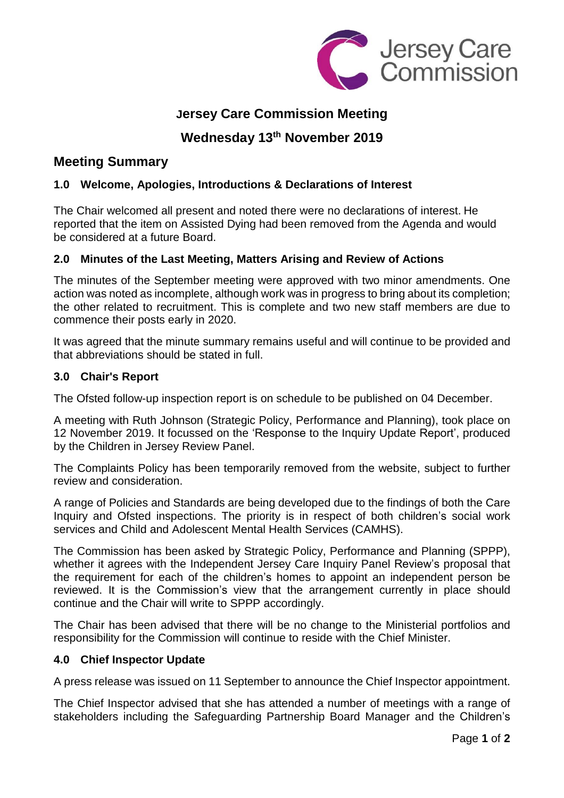

# **Jersey Care Commission Meeting**

## **Wednesday 13th November 2019**

## **Meeting Summary**

## **1.0 Welcome, Apologies, Introductions & Declarations of Interest**

The Chair welcomed all present and noted there were no declarations of interest. He reported that the item on Assisted Dying had been removed from the Agenda and would be considered at a future Board.

## **2.0 Minutes of the Last Meeting, Matters Arising and Review of Actions**

The minutes of the September meeting were approved with two minor amendments. One action was noted as incomplete, although work was in progress to bring about its completion; the other related to recruitment. This is complete and two new staff members are due to commence their posts early in 2020.

It was agreed that the minute summary remains useful and will continue to be provided and that abbreviations should be stated in full.

## **3.0 Chair's Report**

The Ofsted follow-up inspection report is on schedule to be published on 04 December.

A meeting with Ruth Johnson (Strategic Policy, Performance and Planning), took place on 12 November 2019. It focussed on the 'Response to the Inquiry Update Report', produced by the Children in Jersey Review Panel.

The Complaints Policy has been temporarily removed from the website, subject to further review and consideration.

A range of Policies and Standards are being developed due to the findings of both the Care Inquiry and Ofsted inspections. The priority is in respect of both children's social work services and Child and Adolescent Mental Health Services (CAMHS).

The Commission has been asked by Strategic Policy, Performance and Planning (SPPP), whether it agrees with the Independent Jersey Care Inquiry Panel Review's proposal that the requirement for each of the children's homes to appoint an independent person be reviewed. It is the Commission's view that the arrangement currently in place should continue and the Chair will write to SPPP accordingly.

The Chair has been advised that there will be no change to the Ministerial portfolios and responsibility for the Commission will continue to reside with the Chief Minister.

## **4.0 Chief Inspector Update**

A press release was issued on 11 September to announce the Chief Inspector appointment.

The Chief Inspector advised that she has attended a number of meetings with a range of stakeholders including the Safeguarding Partnership Board Manager and the Children's